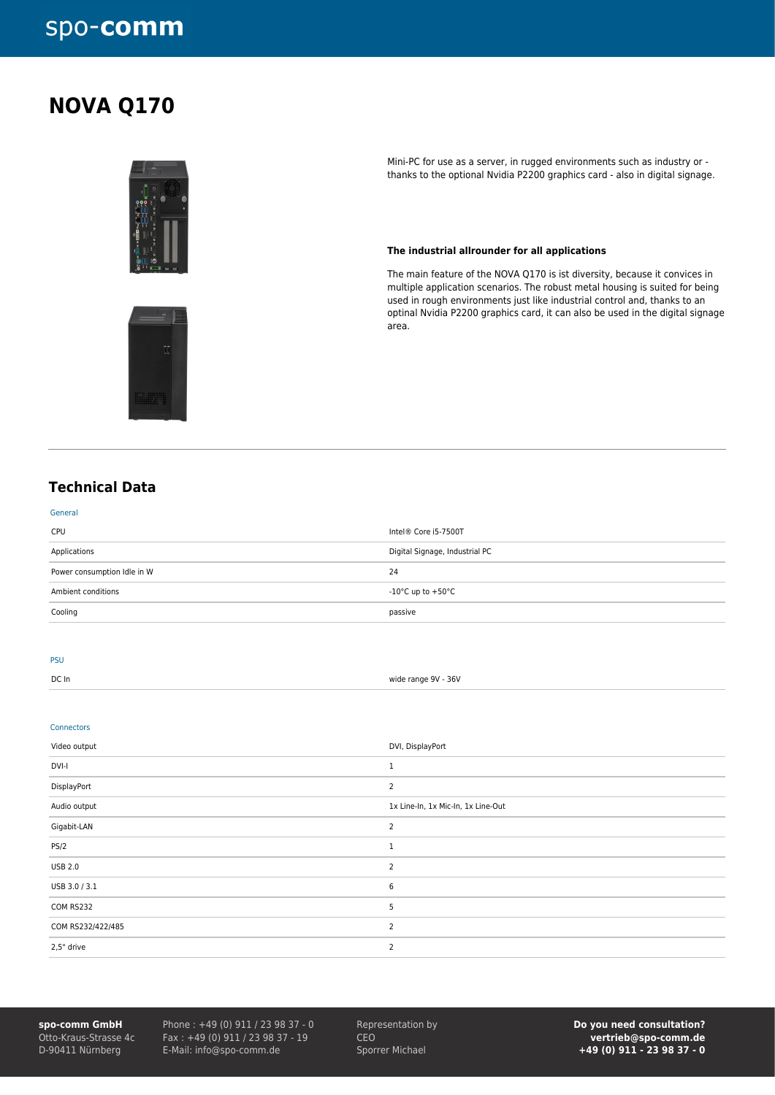# spo-comm

## **NOVA Q170**



Mini-PC for use as a server, in rugged environments such as industry or thanks to the optional Nvidia P2200 graphics card - also in digital signage.

#### **The industrial allrounder for all applications**

The main feature of the NOVA Q170 is ist diversity, because it convices in multiple application scenarios. The robust metal housing is suited for being used in rough environments just like industrial control and, thanks to an optinal Nvidia P2200 graphics card, it can also be used in the digital signage area.



## **Technical Data**

| General                     |                                |
|-----------------------------|--------------------------------|
| <b>CPU</b>                  | Intel® Core i5-7500T           |
| Applications                | Digital Signage, Industrial PC |
| Power consumption Idle in W | 24                             |
| Ambient conditions          | -10°C up to +50°C              |
| Cooling                     | passive                        |
|                             |                                |

### PSU

DC In wide range 9V - 36V

#### Connectors

| Video output      | DVI, DisplayPort                   |
|-------------------|------------------------------------|
| DVI-I             |                                    |
| DisplayPort       | $\overline{2}$                     |
| Audio output      | 1x Line-In, 1x Mic-In, 1x Line-Out |
| Gigabit-LAN       | 2                                  |
| <b>PS/2</b>       |                                    |
| <b>USB 2.0</b>    | 2                                  |
| USB 3.0 / 3.1     | 6                                  |
| COM RS232         | 5                                  |
| COM RS232/422/485 | $\overline{2}$                     |
| 2,5" drive        | $\overline{2}$                     |

**spo-comm GmbH** Otto-Kraus-Strasse 4c D-90411 Nürnberg

Phone : +49 (0) 911 / 23 98 37 - 0 Fax : +49 (0) 911 / 23 98 37 - 19 E-Mail: info@spo-comm.de

Representation by CEO Sporrer Michael

**Do you need consultation? vertrieb@spo-comm.de +49 (0) 911 - 23 98 37 - 0**